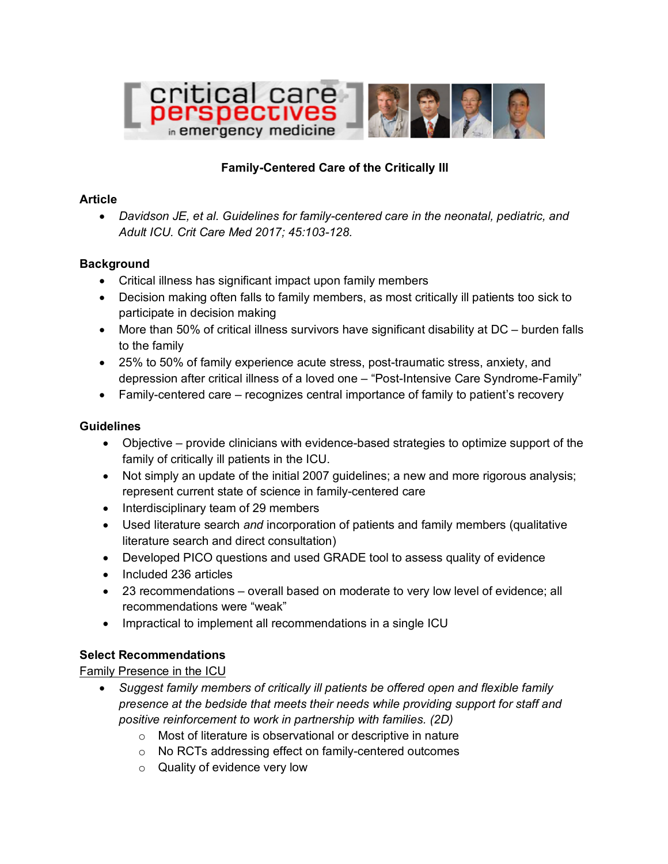

# **Family-Centered Care of the Critically Ill**

#### **Article**

• *Davidson JE, et al. Guidelines for family-centered care in the neonatal, pediatric, and Adult ICU. Crit Care Med 2017; 45:103-128.*

### **Background**

- Critical illness has significant impact upon family members
- Decision making often falls to family members, as most critically ill patients too sick to participate in decision making
- More than 50% of critical illness survivors have significant disability at DC burden falls to the family
- 25% to 50% of family experience acute stress, post-traumatic stress, anxiety, and depression after critical illness of a loved one – "Post-Intensive Care Syndrome-Family"
- Family-centered care recognizes central importance of family to patient's recovery

## **Guidelines**

- Objective provide clinicians with evidence-based strategies to optimize support of the family of critically ill patients in the ICU.
- Not simply an update of the initial 2007 guidelines; a new and more rigorous analysis; represent current state of science in family-centered care
- Interdisciplinary team of 29 members
- Used literature search *and* incorporation of patients and family members (qualitative literature search and direct consultation)
- Developed PICO questions and used GRADE tool to assess quality of evidence
- Included 236 articles
- 23 recommendations overall based on moderate to very low level of evidence; all recommendations were "weak"
- Impractical to implement all recommendations in a single ICU

### **Select Recommendations**

### Family Presence in the ICU

- *Suggest family members of critically ill patients be offered open and flexible family presence at the bedside that meets their needs while providing support for staff and positive reinforcement to work in partnership with families. (2D)*
	- o Most of literature is observational or descriptive in nature
	- o No RCTs addressing effect on family-centered outcomes
	- o Quality of evidence very low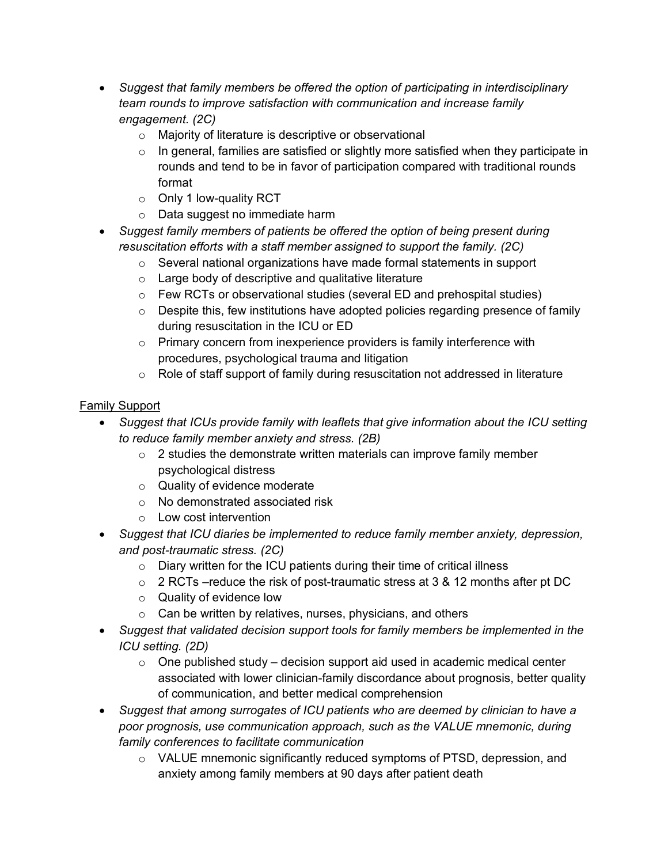- *Suggest that family members be offered the option of participating in interdisciplinary team rounds to improve satisfaction with communication and increase family engagement. (2C)*
	- o Majority of literature is descriptive or observational
	- $\circ$  In general, families are satisfied or slightly more satisfied when they participate in rounds and tend to be in favor of participation compared with traditional rounds format
	- o Only 1 low-quality RCT
	- o Data suggest no immediate harm
- *Suggest family members of patients be offered the option of being present during resuscitation efforts with a staff member assigned to support the family. (2C)*
	- o Several national organizations have made formal statements in support
	- o Large body of descriptive and qualitative literature
	- o Few RCTs or observational studies (several ED and prehospital studies)
	- $\circ$  Despite this, few institutions have adopted policies regarding presence of family during resuscitation in the ICU or ED
	- o Primary concern from inexperience providers is family interference with procedures, psychological trauma and litigation
	- $\circ$  Role of staff support of family during resuscitation not addressed in literature

### Family Support

- *Suggest that ICUs provide family with leaflets that give information about the ICU setting to reduce family member anxiety and stress. (2B)*
	- o 2 studies the demonstrate written materials can improve family member psychological distress
	- o Quality of evidence moderate
	- o No demonstrated associated risk
	- o Low cost intervention
- *Suggest that ICU diaries be implemented to reduce family member anxiety, depression, and post-traumatic stress. (2C)*
	- o Diary written for the ICU patients during their time of critical illness
	- o 2 RCTs –reduce the risk of post-traumatic stress at 3 & 12 months after pt DC
	- o Quality of evidence low
	- o Can be written by relatives, nurses, physicians, and others
- *Suggest that validated decision support tools for family members be implemented in the ICU setting. (2D)*
	- $\circ$  One published study decision support aid used in academic medical center associated with lower clinician-family discordance about prognosis, better quality of communication, and better medical comprehension
- *Suggest that among surrogates of ICU patients who are deemed by clinician to have a poor prognosis, use communication approach, such as the VALUE mnemonic, during family conferences to facilitate communication*
	- o VALUE mnemonic significantly reduced symptoms of PTSD, depression, and anxiety among family members at 90 days after patient death